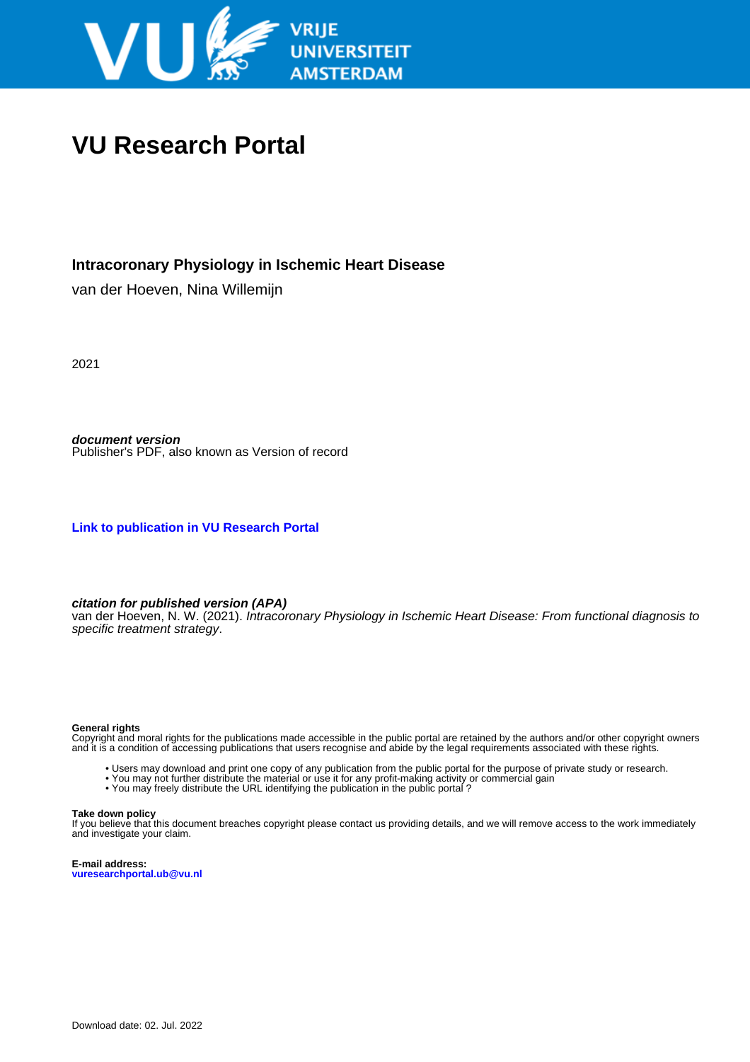

# **VU Research Portal**

### **Intracoronary Physiology in Ischemic Heart Disease**

van der Hoeven, Nina Willemijn

2021

**document version** Publisher's PDF, also known as Version of record

**[Link to publication in VU Research Portal](https://research.vu.nl/en/publications/a21fe902-7b55-401b-8553-9b87bce1a521)**

**citation for published version (APA)**

van der Hoeven, N. W. (2021). Intracoronary Physiology in Ischemic Heart Disease: From functional diagnosis to specific treatment strategy.

#### **General rights**

Copyright and moral rights for the publications made accessible in the public portal are retained by the authors and/or other copyright owners and it is a condition of accessing publications that users recognise and abide by the legal requirements associated with these rights.

- Users may download and print one copy of any publication from the public portal for the purpose of private study or research.
- You may not further distribute the material or use it for any profit-making activity or commercial gain
- You may freely distribute the URL identifying the publication in the public portal?

#### **Take down policy**

If you believe that this document breaches copyright please contact us providing details, and we will remove access to the work immediately and investigate your claim.

**E-mail address: vuresearchportal.ub@vu.nl**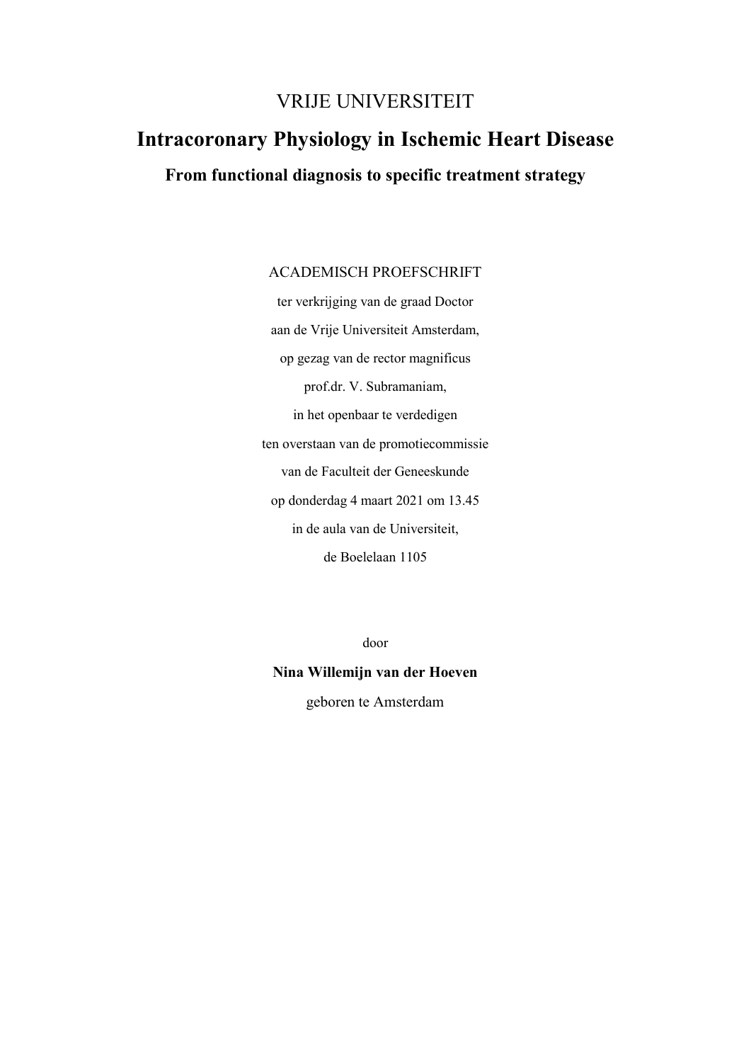## VRIJE UNIVERSITEIT

# **Intracoronary Physiology in Ischemic Heart Disease**

## **From functional diagnosis to specific treatment strategy**

### ACADEMISCH PROEFSCHRIFT

ter verkrijging van de graad Doctor aan de Vrije Universiteit Amsterdam, op gezag van de rector magnificus prof.dr. V. Subramaniam, in het openbaar te verdedigen ten overstaan van de promotiecommissie van de Faculteit der Geneeskunde op donderdag 4 maart 2021 om 13.45 in de aula van de Universiteit, de Boelelaan 1105

door

# **Nina Willemijn van der Hoeven**

geboren te Amsterdam